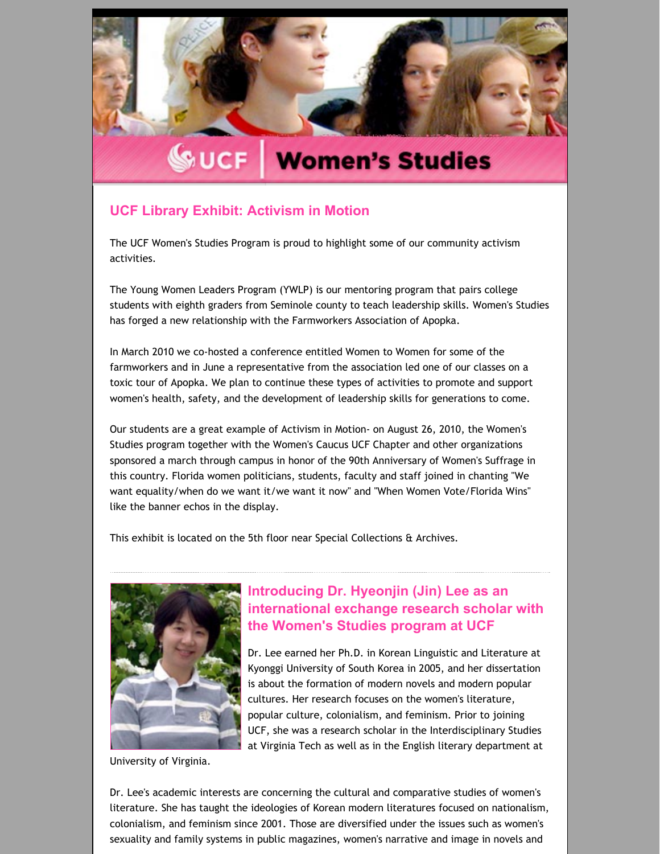

# **WUCF** Women's Studies

# **UCF Library Exhibit: Activism in Motion**

The UCF Women's Studies Program is proud to highlight some of our community activism activities.

The Young Women Leaders Program (YWLP) is our mentoring program that pairs college students with eighth graders from Seminole county to teach leadership skills. Women's Studies has forged a new relationship with the Farmworkers Association of Apopka.

In March 2010 we co-hosted a conference entitled Women to Women for some of the farmworkers and in June a representative from the association led one of our classes on a toxic tour of Apopka. We plan to continue these types of activities to promote and support women's health, safety, and the development of leadership skills for generations to come.

Our students are a great example of Activism in Motion‐ on August 26, 2010, the Women's Studies program together with the Women's Caucus UCF Chapter and other organizations sponsored a march through campus in honor of the 90th Anniversary of Women's Suffrage in this country. Florida women politicians, students, faculty and staff joined in chanting "We want equality/when do we want it/we want it now" and "When Women Vote/Florida Wins" like the banner echos in the display.

This exhibit is located on the 5th floor near Special Collections & Archives.



**Introducing Dr. Hyeonjin (Jin) Lee as an [international](http://womensstudies.cah.ucf.edu/blast/issue3.html) exchange research scholar with the Women's Studies program at UCF**

Dr. Lee earned her Ph.D. in Korean Linguistic and Literature at Kyonggi University of South Korea in 2005, and her dissertation is about the formation of modern novels and modern popular cultures. Her research focuses on the women's literature, popular culture, colonialism, and feminism. Prior to joining UCF, she was a research scholar in the Interdisciplinary Studies at Virginia Tech as well as in the English literary department at

University of Virginia.

Dr. Lee's academic interests are concerning the cultural and comparative studies of women's literature. She has taught the ideologies of Korean modern literatures focused on nationalism, colonialism, and feminism since 2001. Those are diversified under the issues such as women's sexuality and family systems in public magazines, women's narrative and image in novels and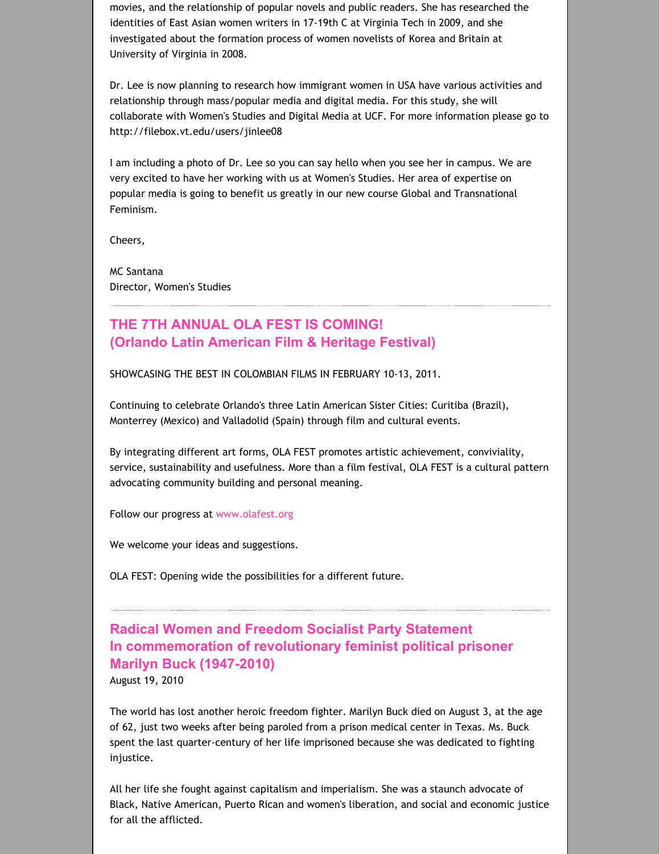movies, and the relationship of popular novels and public readers. She has researched the identities of East Asian women writers in 17‐19th C at Virginia Tech in 2009, and she investigated about the formation process of women novelists of Korea and Britain at University of Virginia in 2008.

Dr. Lee is now planning to research how immigrant women in USA have various activities and relationship through mass/popular media and digital media. For this study, she will collaborate with Women's Studies and Digital Media at UCF. For more information please go to http://filebox.vt.edu/users/jinlee08

I am including a photo of Dr. Lee so you can say hello when you see her in campus. We are very excited to have her working with us at Women's Studies. Her area of expertise on popular media is going to benefit us greatly in our new course Global and Transnational Feminism.

Cheers,

MC Santana Director, Women's Studies

# **THE 7TH ANNUAL OLA FEST IS COMING! (Orlando Latin American Film & Heritage Festival)**

SHOWCASING THE BEST IN COLOMBIAN FILMS IN FEBRUARY 10‐13, 2011.

Continuing to celebrate Orlando's three Latin American Sister Cities: Curitiba (Brazil), Monterrey (Mexico) and Valladolid (Spain) through film and cultural events.

By integrating different art forms, OLA FEST promotes artistic achievement, conviviality, service, sustainability and usefulness. More than a film festival, OLA FEST is a cultural pattern advocating community building and personal meaning.

Follow our progress at [www.olafest.org](http://www.olafest.org/)

We welcome your ideas and suggestions.

OLA FEST: Opening wide the possibilities for a different future.

**Radical Women and Freedom Socialist Party Statement In commemoration of revolutionary feminist political prisoner Marilyn Buck (1947-2010)** August 19, 2010

The world has lost another heroic freedom fighter. Marilyn Buck died on August 3, at the age of 62, just two weeks after being paroled from a prison medical center in Texas. Ms. Buck spent the last quarter-century of her life imprisoned because she was dedicated to fighting injustice.

All her life she fought against capitalism and imperialism. She was a staunch advocate of Black, Native American, Puerto Rican and women's liberation, and social and economic justice for all the afflicted.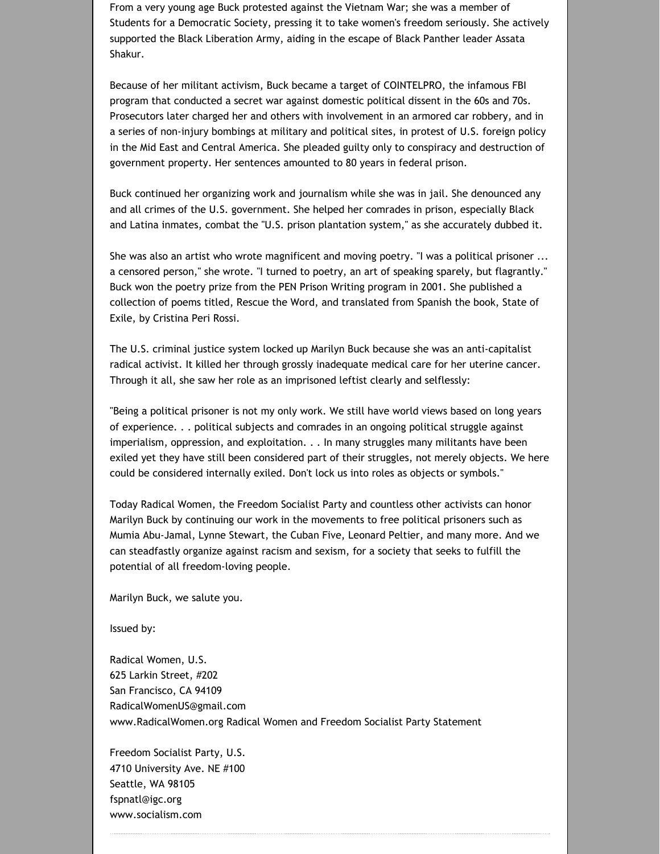From a very young age Buck protested against the Vietnam War; she was a member of Students for a Democratic Society, pressing it to take women's freedom seriously. She actively supported the Black Liberation Army, aiding in the escape of Black Panther leader Assata Shakur.

Because of her militant activism, Buck became a target of COINTELPRO, the infamous FBI program that conducted a secret war against domestic political dissent in the 60s and 70s. Prosecutors later charged her and others with involvement in an armored car robbery, and in a series of non‐injury bombings at military and political sites, in protest of U.S. foreign policy in the Mid East and Central America. She pleaded guilty only to conspiracy and destruction of government property. Her sentences amounted to 80 years in federal prison.

Buck continued her organizing work and journalism while she was in jail. She denounced any and all crimes of the U.S. government. She helped her comrades in prison, especially Black and Latina inmates, combat the "U.S. prison plantation system," as she accurately dubbed it.

She was also an artist who wrote magnificent and moving poetry. "I was a political prisoner ... a censored person," she wrote. "I turned to poetry, an art of speaking sparely, but flagrantly." Buck won the poetry prize from the PEN Prison Writing program in 2001. She published a collection of poems titled, Rescue the Word, and translated from Spanish the book, State of Exile, by Cristina Peri Rossi.

The U.S. criminal justice system locked up Marilyn Buck because she was an anti‐capitalist radical activist. It killed her through grossly inadequate medical care for her uterine cancer. Through it all, she saw her role as an imprisoned leftist clearly and selflessly:

"Being a political prisoner is not my only work. We still have world views based on long years of experience. . . political subjects and comrades in an ongoing political struggle against imperialism, oppression, and exploitation. . . In many struggles many militants have been exiled yet they have still been considered part of their struggles, not merely objects. We here could be considered internally exiled. Don't lock us into roles as objects or symbols."

Today Radical Women, the Freedom Socialist Party and countless other activists can honor Marilyn Buck by continuing our work in the movements to free political prisoners such as Mumia Abu‐Jamal, Lynne Stewart, the Cuban Five, Leonard Peltier, and many more. And we can steadfastly organize against racism and sexism, for a society that seeks to fulfill the potential of all freedom‐loving people.

Marilyn Buck, we salute you.

Issued by:

Radical Women, U.S. 625 Larkin Street, #202 San Francisco, CA 94109 RadicalWomenUS@gmail.com www.RadicalWomen.org Radical Women and Freedom Socialist Party Statement

Freedom Socialist Party, U.S. 4710 University Ave. NE #100 Seattle, WA 98105 fspnatl@igc.org www.socialism.com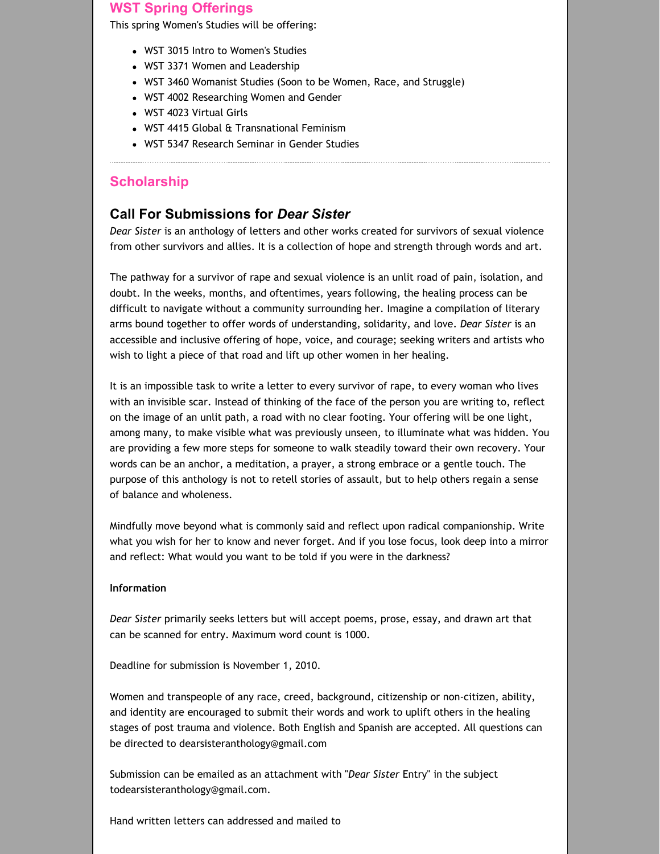## **WST Spring Offerings**

This spring Women's Studies will be offering:

- WST 3015 Intro to Women's Studies
- WST 3371 Women and Leadership
- WST 3460 Womanist Studies (Soon to be Women, Race, and Struggle)
- WST 4002 Researching Women and Gender
- WST 4023 Virtual Girls
- WST 4415 Global & Transnational Feminism
- WST 5347 Research Seminar in Gender Studies

### **Scholarship**

## **Call For Submissions for** *Dear Sister*

*Dear Sister* is an anthology of letters and other works created for survivors of sexual violence from other survivors and allies. It is a collection of hope and strength through words and art.

The pathway for a survivor of rape and sexual violence is an unlit road of pain, isolation, and doubt. In the weeks, months, and oftentimes, years following, the healing process can be difficult to navigate without a community surrounding her. Imagine a compilation of literary arms bound together to offer words of understanding, solidarity, and love. *Dear Sister* is an accessible and inclusive offering of hope, voice, and courage; seeking writers and artists who wish to light a piece of that road and lift up other women in her healing.

It is an impossible task to write a letter to every survivor of rape, to every woman who lives with an invisible scar. Instead of thinking of the face of the person you are writing to, reflect on the image of an unlit path, a road with no clear footing. Your offering will be one light, among many, to make visible what was previously unseen, to illuminate what was hidden. You are providing a few more steps for someone to walk steadily toward their own recovery. Your words can be an anchor, a meditation, a prayer, a strong embrace or a gentle touch. The purpose of this anthology is not to retell stories of assault, but to help others regain a sense of balance and wholeness.

Mindfully move beyond what is commonly said and reflect upon radical companionship. Write what you wish for her to know and never forget. And if you lose focus, look deep into a mirror and reflect: What would you want to be told if you were in the darkness?

#### **Information**

*Dear Sister* primarily seeks letters but will accept poems, prose, essay, and drawn art that can be scanned for entry. Maximum word count is 1000.

Deadline for submission is November 1, 2010.

Women and transpeople of any race, creed, background, citizenship or non-citizen, ability, and identity are encouraged to submit their words and work to uplift others in the healing stages of post trauma and violence. Both English and Spanish are accepted. All questions can be directed to dearsisteranthology@gmail.com

Submission can be emailed as an attachment with "*Dear Sister* Entry" in the subject todearsisteranthology@gmail.com.

Hand written letters can addressed and mailed to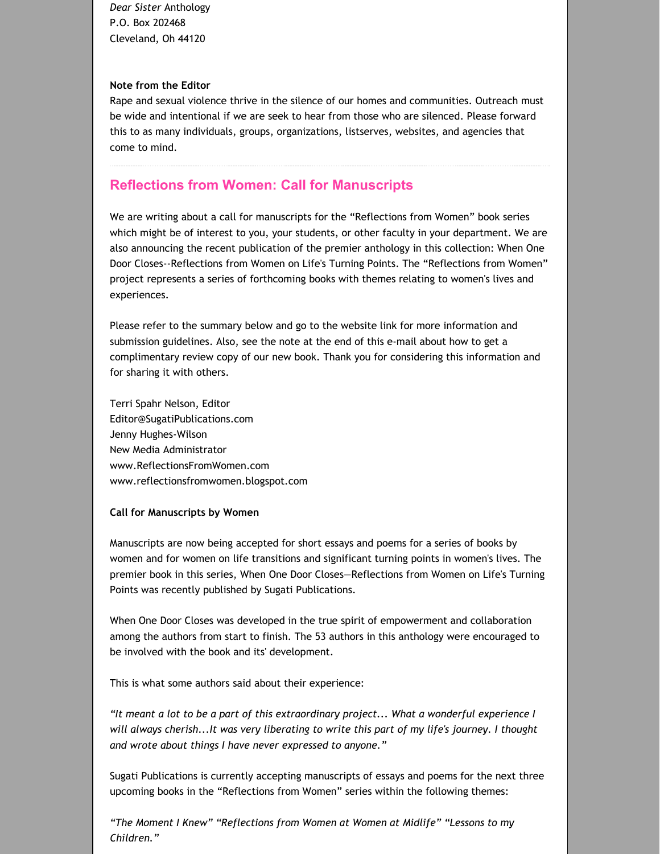*Dear Sister* Anthology P.O. Box 202468 Cleveland, Oh 44120

#### **Note from the Editor**

Rape and sexual violence thrive in the silence of our homes and communities. Outreach must be wide and intentional if we are seek to hear from those who are silenced. Please forward this to as many individuals, groups, organizations, listserves, websites, and agencies that come to mind.

# **Reflections from Women: Call for Manuscripts**

We are writing about a call for manuscripts for the "Reflections from Women" book series which might be of interest to you, your students, or other faculty in your department. We are also announcing the recent publication of the premier anthology in this collection: When One Door Closes--Reflections from Women on Life's Turning Points. The "Reflections from Women" project represents a series of forthcoming books with themes relating to women's lives and experiences.

Please refer to the summary below and go to the website link for more information and submission guidelines. Also, see the note at the end of this e‐mail about how to get a complimentary review copy of our new book. Thank you for considering this information and for sharing it with others.

Terri Spahr Nelson, Editor Editor@SugatiPublications.com Jenny Hughes‐Wilson New Media Administrator www.ReflectionsFromWomen.com www.reflectionsfromwomen.blogspot.com

#### **Call for Manuscripts by Women**

Manuscripts are now being accepted for short essays and poems for a series of books by women and for women on life transitions and significant turning points in women's lives. The premier book in this series, When One Door Closes—Reflections from Women on Life's Turning Points was recently published by Sugati Publications.

When One Door Closes was developed in the true spirit of empowerment and collaboration among the authors from start to finish. The 53 authors in this anthology were encouraged to be involved with the book and its' development.

This is what some authors said about their experience:

*"It meant a lot to be a part of this extraordinary project... What a wonderful experience I will always cherish...It was very liberating to write this part of my life's journey. I thought and wrote about things I have never expressed to anyone."*

Sugati Publications is currently accepting manuscripts of essays and poems for the next three upcoming books in the "Reflections from Women" series within the following themes:

*"The Moment I Knew" "Reflections from Women at Women at Midlife" "Lessons to my Children."*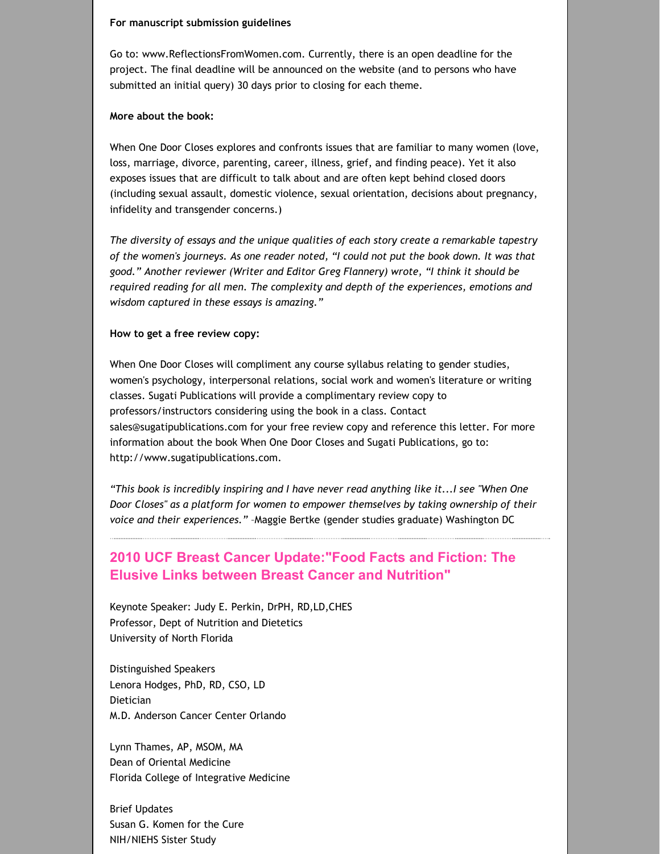#### **For manuscript submission guidelines**

Go to: www.ReflectionsFromWomen.com. Currently, there is an open deadline for the project. The final deadline will be announced on the website (and to persons who have submitted an initial query) 30 days prior to closing for each theme.

#### **More about the book:**

When One Door Closes explores and confronts issues that are familiar to many women (love, loss, marriage, divorce, parenting, career, illness, grief, and finding peace). Yet it also exposes issues that are difficult to talk about and are often kept behind closed doors (including sexual assault, domestic violence, sexual orientation, decisions about pregnancy, infidelity and transgender concerns.)

*The diversity of essays and the unique qualities of each story create a remarkable tapestry of the women's journeys. As one reader noted, "I could not put the book down. It was that good." Another reviewer (Writer and Editor Greg Flannery) wrote, "I think it should be required reading for all men. The complexity and depth of the experiences, emotions and wisdom captured in these essays is amazing."*

#### **How to get a free review copy:**

When One Door Closes will compliment any course syllabus relating to gender studies, women's psychology, interpersonal relations, social work and women's literature or writing classes. Sugati Publications will provide a complimentary review copy to professors/instructors considering using the book in a class. Contact sales@sugatipublications.com for your free review copy and reference this letter. For more information about the book When One Door Closes and Sugati Publications, go to: http://www.sugatipublications.com.

*"This book is incredibly inspiring and I have never read anything like it...I see "When One Door Closes" as a platform for women to empower themselves by taking ownership of their voice and their experiences."* –Maggie Bertke (gender studies graduate) Washington DC

# **2010 UCF Breast Cancer Update:"Food Facts and Fiction: The Elusive Links between Breast Cancer and Nutrition"**

Keynote Speaker: Judy E. Perkin, DrPH, RD,LD,CHES Professor, Dept of Nutrition and Dietetics University of North Florida

Distinguished Speakers Lenora Hodges, PhD, RD, CSO, LD Dietician M.D. Anderson Cancer Center Orlando

Lynn Thames, AP, MSOM, MA Dean of Oriental Medicine Florida College of Integrative Medicine

Brief Updates Susan G. Komen for the Cure NIH/NIEHS Sister Study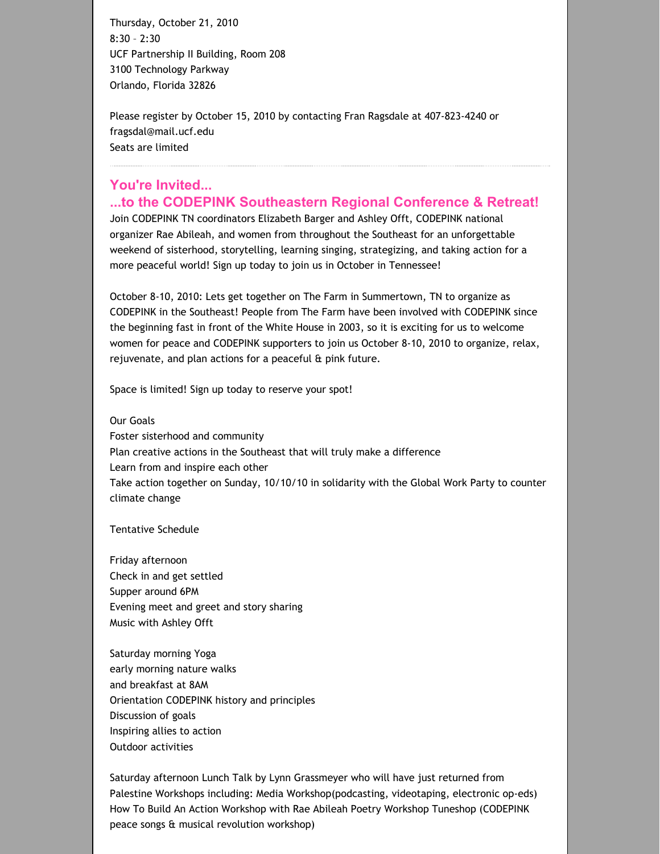Thursday, October 21, 2010 8:30 – 2:30 UCF Partnership II Building, Room 208 3100 Technology Parkway Orlando, Florida 32826

Please register by October 15, 2010 by contacting Fran Ragsdale at 407‐823‐4240 or fragsdal@mail.ucf.edu Seats are limited

## **You're Invited... ...to the CODEPINK Southeastern Regional Conference & Retreat!**

Join CODEPINK TN coordinators Elizabeth Barger and Ashley Offt, CODEPINK national organizer Rae Abileah, and women from throughout the Southeast for an unforgettable weekend of sisterhood, storytelling, learning singing, strategizing, and taking action for a more peaceful world! Sign up today to join us in October in Tennessee!

October 8‐10, 2010: Lets get together on The Farm in Summertown, TN to organize as CODEPINK in the Southeast! People from The Farm have been involved with CODEPINK since the beginning fast in front of the White House in 2003, so it is exciting for us to welcome women for peace and CODEPINK supporters to join us October 8‐10, 2010 to organize, relax, rejuvenate, and plan actions for a peaceful & pink future.

Space is limited! Sign up today to reserve your spot!

Our Goals

Foster sisterhood and community Plan creative actions in the Southeast that will truly make a difference Learn from and inspire each other Take action together on Sunday, 10/10/10 in solidarity with the Global Work Party to counter climate change

Tentative Schedule

Friday afternoon Check in and get settled Supper around 6PM Evening meet and greet and story sharing Music with Ashley Offt

Saturday morning Yoga early morning nature walks and breakfast at 8AM Orientation CODEPINK history and principles Discussion of goals Inspiring allies to action Outdoor activities

Saturday afternoon Lunch Talk by Lynn Grassmeyer who will have just returned from Palestine Workshops including: Media Workshop(podcasting, videotaping, electronic op‐eds) How To Build An Action Workshop with Rae Abileah Poetry Workshop Tuneshop (CODEPINK peace songs & musical revolution workshop)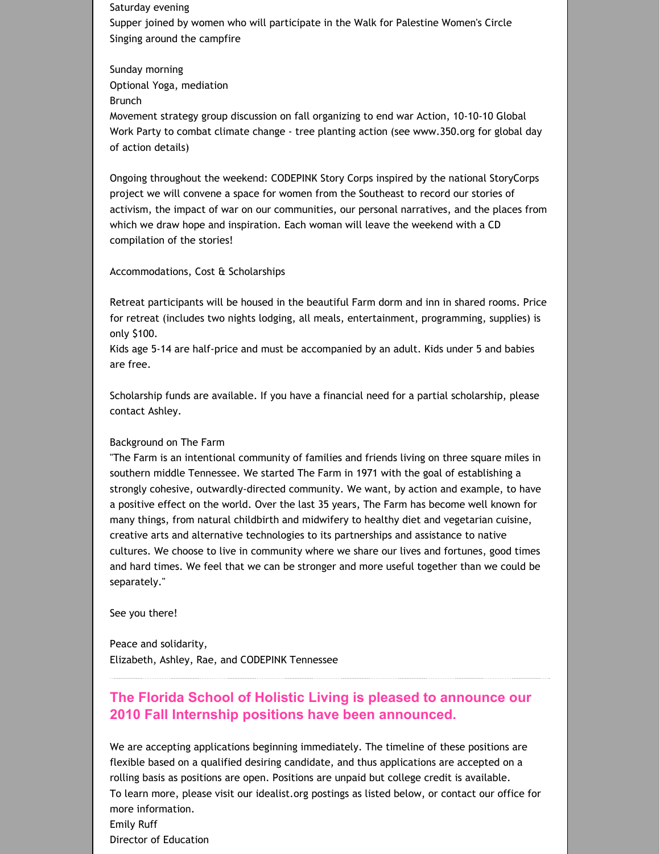Saturday evening Supper joined by women who will participate in the Walk for Palestine Women's Circle Singing around the campfire

Sunday morning Optional Yoga, mediation Brunch

Movement strategy group discussion on fall organizing to end war Action, 10‐10‐10 Global Work Party to combat climate change ‐ tree planting action (see www.350.org for global day of action details)

Ongoing throughout the weekend: CODEPINK Story Corps inspired by the national StoryCorps project we will convene a space for women from the Southeast to record our stories of activism, the impact of war on our communities, our personal narratives, and the places from which we draw hope and inspiration. Each woman will leave the weekend with a CD compilation of the stories!

Accommodations, Cost & Scholarships

Retreat participants will be housed in the beautiful Farm dorm and inn in shared rooms. Price for retreat (includes two nights lodging, all meals, entertainment, programming, supplies) is only \$100.

Kids age 5‐14 are half‐price and must be accompanied by an adult. Kids under 5 and babies are free.

Scholarship funds are available. If you have a financial need for a partial scholarship, please contact Ashley.

#### Background on The Farm

"The Farm is an intentional community of families and friends living on three square miles in southern middle Tennessee. We started The Farm in 1971 with the goal of establishing a strongly cohesive, outwardly‐directed community. We want, by action and example, to have a positive effect on the world. Over the last 35 years, The Farm has become well known for many things, from natural childbirth and midwifery to healthy diet and vegetarian cuisine, creative arts and alternative technologies to its partnerships and assistance to native cultures. We choose to live in community where we share our lives and fortunes, good times and hard times. We feel that we can be stronger and more useful together than we could be separately."

See you there!

Peace and solidarity, Elizabeth, Ashley, Rae, and CODEPINK Tennessee

# **The Florida School of Holistic Living is pleased to announce our 2010 Fall Internship positions have been announced.**

We are accepting applications beginning immediately. The timeline of these positions are flexible based on a qualified desiring candidate, and thus applications are accepted on a rolling basis as positions are open. Positions are unpaid but college credit is available. To learn more, please visit our idealist.org postings as listed below, or contact our office for more information. Emily Ruff Director of Education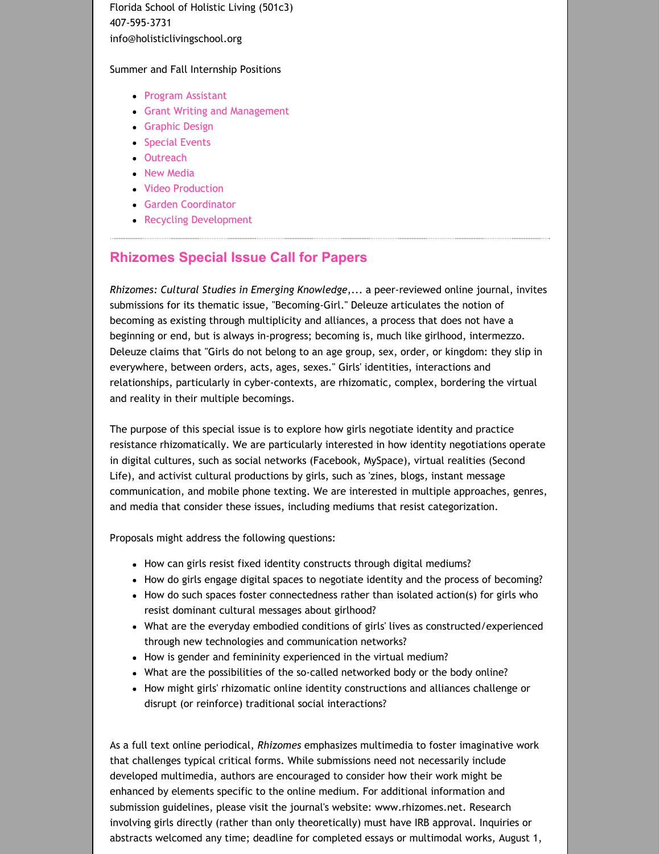Florida School of Holistic Living (501c3) 407‐595‐3731 info@holisticlivingschool.org

#### Summer and Fall Internship Positions

- **Program [Assistant](http://www.idealist.org/if/i/en/av/Internship/146378-312/c)**
- Grant Writing and [Management](http://www.idealist.org/if/i/en/av/Internship/146389-315/c)
- [Graphic](http://www.idealist.org/if/i/en/av/Internship/146388-282/c) Design
- **[Special](http://www.idealist.org/if/i/en/av/Internship/146387-249/c) Events**
- [Outreach](http://www.idealist.org/if/i/en/av/Internship/146386-215/c)
- New [Media](http://www.idealist.org/if/i/en/av/Internship/146384-149/c)
- Video [Production](http://www.idealist.org/if/i/en/av/Internship/146381-49/c)
- Garden [Coordinator](http://www.idealist.org/if/i/en/av/Internship/146382-82/c)
- Recycling [Development](http://www.idealist.org/if/i/en/av/Internship/146379-12/c)

## **Rhizomes Special Issue Call for Papers**

*Rhizomes: Cultural Studies in Emerging Knowledge*,... a peer‐reviewed online journal, invites submissions for its thematic issue, "Becoming‐Girl." Deleuze articulates the notion of becoming as existing through multiplicity and alliances, a process that does not have a beginning or end, but is always in‐progress; becoming is, much like girlhood, intermezzo. Deleuze claims that "Girls do not belong to an age group, sex, order, or kingdom: they slip in everywhere, between orders, acts, ages, sexes." Girls' identities, interactions and relationships, particularly in cyber‐contexts, are rhizomatic, complex, bordering the virtual and reality in their multiple becomings.

The purpose of this special issue is to explore how girls negotiate identity and practice resistance rhizomatically. We are particularly interested in how identity negotiations operate in digital cultures, such as social networks (Facebook, MySpace), virtual realities (Second Life), and activist cultural productions by girls, such as 'zines, blogs, instant message communication, and mobile phone texting. We are interested in multiple approaches, genres, and media that consider these issues, including mediums that resist categorization.

Proposals might address the following questions:

- How can girls resist fixed identity constructs through digital mediums?
- How do girls engage digital spaces to negotiate identity and the process of becoming?
- How do such spaces foster connectedness rather than isolated action(s) for girls who resist dominant cultural messages about girlhood?
- What are the everyday embodied conditions of girls' lives as constructed/experienced through new technologies and communication networks?
- How is gender and femininity experienced in the virtual medium?
- What are the possibilities of the so-called networked body or the body online?
- How might girls' rhizomatic online identity constructions and alliances challenge or disrupt (or reinforce) traditional social interactions?

As a full text online periodical, *Rhizomes* emphasizes multimedia to foster imaginative work that challenges typical critical forms. While submissions need not necessarily include developed multimedia, authors are encouraged to consider how their work might be enhanced by elements specific to the online medium. For additional information and submission guidelines, please visit the journal's website: www.rhizomes.net. Research involving girls directly (rather than only theoretically) must have IRB approval. Inquiries or abstracts welcomed any time; deadline for completed essays or multimodal works, August 1,